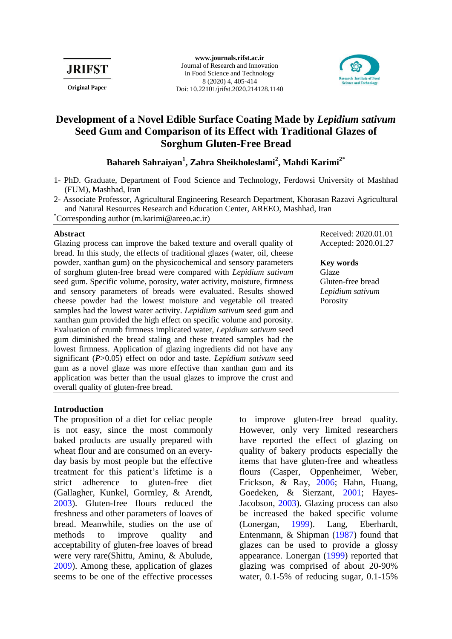

**www.journals.rifst.ac.ir** Journal of Research and Innovation in Food Science and Technology 8 (2020) 4, 405-414 **Original Paper** Doi[: 10.22101/jrifst.2020.214128.1140](http://dx.doi.org/10.22101/jrifst.2020.214128.1140)



# **Development of a Novel Edible Surface Coating Made by** *Lepidium sativum* **Seed Gum and Comparison of its Effect with Traditional Glazes of Sorghum Gluten-Free Bread**

# **Bahareh Sahraiyan<sup>1</sup> , Zahra Sheikholeslami<sup>2</sup> , Mahdi Karimi2\***

- 1- PhD. Graduate, Department of Food Science and Technology, Ferdowsi University of Mashhad (FUM), Mashhad, Iran
- 2- Associate Professor, Agricultural Engineering Research Department, Khorasan Razavi Agricultural and Natural Resources Research and Education Center, AREEO, Mashhad, Iran \*Corresponding author (m.karimi@areeo.ac.ir)

# **Abstract**

Glazing process can improve the baked texture and overall quality of bread. In this study, the effects of traditional glazes (water, oil, cheese powder, xanthan gum) on the physicochemical and sensory parameters of sorghum gluten-free bread were compared with *Lepidium sativum*  seed gum. Specific volume, porosity, water activity, moisture, firmness and sensory parameters of breads were evaluated. Results showed cheese powder had the lowest moisture and vegetable oil treated samples had the lowest water activity. *Lepidium sativum* seed gum and xanthan gum provided the high effect on specific volume and porosity. Evaluation of crumb firmness implicated water, *Lepidium sativum* seed gum diminished the bread staling and these treated samples had the lowest firmness. Application of glazing ingredients did not have any significant (*P*>0.05) effect on odor and taste. *Lepidium sativum* seed gum as a novel glaze was more effective than xanthan gum and its application was better than the usual glazes to improve the crust and overall quality of gluten-free bread.

Received: 2020.01.01 Accepted: 2020.01.27

# **Key words**

Glaze Gluten-free bread *Lepidium sativum* Porosity

# **Introduction**

The proposition of a diet for celiac people is not easy, since the most commonly baked products are usually prepared with wheat flour and are consumed on an everyday basis by most people but the effective treatment for this patient's lifetime is a strict adherence to gluten-free diet [\(Gallagher, Kunkel, Gormley, & Arendt,](#page-7-0)  [2003\)](#page-7-0). Gluten-free flours reduced the freshness and other parameters of loaves of bread. Meanwhile, studies on the use of methods to improve quality and acceptability of gluten-free loaves of bread were very rare[\(Shittu, Aminu, & Abulude,](#page-8-0) [2009\)](#page-8-0). Among these, application of glazes seems to be one of the effective processes to improve gluten-free bread quality. However, only very limited researchers have reported the effect of glazing on quality of bakery products especially the items that have gluten-free and wheatless flours [\(Casper, Oppenheimer, Weber,](#page-6-0)  [Erickson, & Ray, 2006;](#page-6-0) [Hahn, Huang,](#page-7-1)  [Goedeken, & Sierzant,](#page-7-1) 2001; [Hayes-](#page-7-2)[Jacobson, 2003\)](#page-7-2). Glazing process can also be increased the baked specific volume [\(Lonergan, 1999\)](#page-7-3). [Lang, Eberhardt,](#page-7-4)  [Entenmann, & Shipman](#page-7-4) (1987) found that glazes can be used to provide a glossy appearance. [Lonergan](#page-7-3) (1999) reported that glazing was comprised of about 20-90% water, 0.1-5% of reducing sugar, 0.1-15%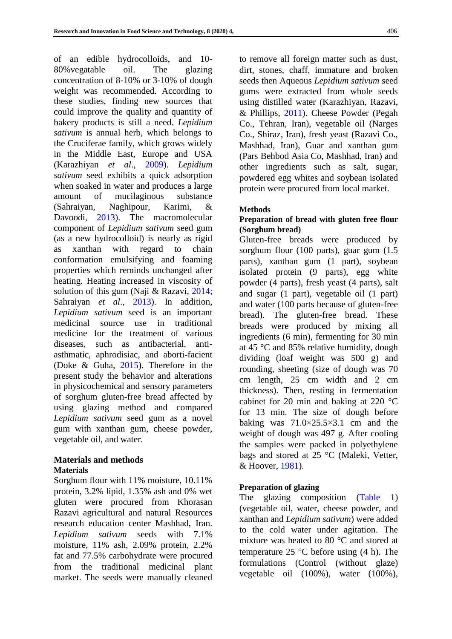of an edible hydrocolloids, and 10- 80%vegatable oil. The glazing concentration of 8-10% or 3-10% of dough weight was recommended. According to these studies, finding new sources that could improve the quality and quantity of bakery products is still a need. *Lepidium sativum* is annual herb, which belongs to the Cruciferae family, which grows widely in the Middle East, Europe and USA [\(Karazhiyan](#page-7-5) *et al*., 2009). *Lepidium sativum* seed exhibits a quick adsorption when soaked in water and produces a large amount of mucilaginous substance [\(Sahraiyan, Naghipour, Karimi, &](#page-8-1)  [Davoodi, 2013\)](#page-8-1). The macromolecular component of *Lepidium sativum* seed gum (as a new hydrocolloid) is nearly as rigid as xanthan with regard to chain conformation emulsifying and foaming properties which reminds unchanged after heating. Heating increased in viscosity of solution of this gum [\(Naji & Razavi,](#page-8-2) 2014; [Sahraiyan](#page-8-1) *et al*., 2013). In addition, *Lepidium sativum* seed is an important medicinal source use in traditional medicine for the treatment of various diseases, such as antibacterial, antiasthmatic, aphrodisiac, and aborti-facient [\(Doke & Guha, 2015\)](#page-7-6). Therefore in the present study the behavior and alterations in physicochemical and sensory parameters of sorghum gluten-free bread affected by using glazing method and compared *Lepidium sativum* seed gum as a novel gum with xanthan gum, cheese powder, vegetable oil, and water.

#### **Materials and methods Materials**

Sorghum flour with 11% moisture, 10.11% protein, 3.2% lipid, 1.35% ash and 0% wet gluten were procured from Khorasan Razavi agricultural and natural Resources research education center Mashhad, Iran. *Lepidium sativum* seeds with 7.1% moisture, 11% ash, 2.09% protein, 2.2% fat and 77.5% carbohydrate were procured from the traditional medicinal plant market. The seeds were manually cleaned to remove all foreign matter such as dust, dirt, stones, chaff, immature and broken seeds then Aqueous *Lepidium sativum* seed gums were extracted from whole seeds using distilled water [\(Karazhiyan, Razavi,](#page-7-7)  [& Phillips, 2011\)](#page-7-7). Cheese Powder (Pegah Co., Tehran, Iran), vegetable oil (Narges Co., Shiraz, Iran), fresh yeast (Razavi Co., Mashhad, Iran), Guar and xanthan gum (Pars Behbod Asia Co, Mashhad, Iran) and other ingredients such as salt, sugar, powdered egg whites and soybean isolated protein were procured from local market.

# **Methods**

# **Preparation of bread with gluten free flour (Sorghum bread)**

Gluten-free breads were produced by sorghum flour (100 parts), guar gum (1.5 parts), xanthan gum (1 part), soybean isolated protein (9 parts), egg white powder (4 parts), fresh yeast (4 parts), salt and sugar (1 part), vegetable oil (1 part) and water (100 parts because of gluten-free bread). The gluten-free bread. These breads were produced by mixing all ingredients (6 min), fermenting for 30 min at 45 °C and 85% relative humidity, dough dividing (loaf weight was 500 g) and rounding, sheeting (size of dough was 70 cm length, 25 cm width and 2 cm thickness). Then, resting in fermentation cabinet for 20 min and baking at 220 °C for 13 min. The size of dough before baking was  $71.0 \times 25.5 \times 3.1$  cm and the weight of dough was 497 g. After cooling the samples were packed in polyethylene bags and stored at 25 °C [\(Maleki, Vetter,](#page-7-8)  [& Hoover, 1981\)](#page-7-8).

# **Preparation of glazing**

The glazing composition [\(Table 1\)](#page-2-0) (vegetable oil, water, cheese powder, and xanthan and *Lepidium sativum*) were added to the cold water under agitation. The mixture was heated to 80 °C and stored at temperature 25  $\degree$ C before using (4 h). The formulations (Control (without glaze) vegetable oil (100%), water (100%),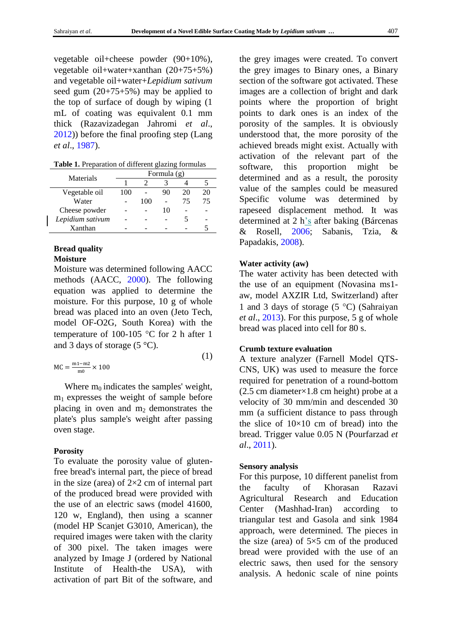vegetable oil+cheese powder (90+10%), vegetable oil+water+xanthan (20+75+5%) and vegetable oil+water+*Lepidium sativum* seed gum (20+75+5%) may be applied to the top of surface of dough by wiping (1 mL of coating was equivalent 0.1 mm thick [\(Razavizadegan Jahromi](#page-8-3) *et al*., [2012\)](#page-8-3)) before the final proofing step [\(Lang](#page-7-4)  *et al*[., 1987\)](#page-7-4).

<span id="page-2-0"></span>

| Table 1. Preparation of different glazing formulas |  |
|----------------------------------------------------|--|
|----------------------------------------------------|--|

| Materials        | Formula (g) |     |    |    |    |
|------------------|-------------|-----|----|----|----|
|                  |             |     |    |    |    |
| Vegetable oil    | 100         |     | 90 | 20 | 20 |
| Water            |             | 100 |    | 75 | 75 |
| Cheese powder    |             |     | 10 |    |    |
| Lepidium sativum |             |     |    |    |    |
| Xanthan          |             |     |    |    |    |

#### **Bread quality Moisture**

Moisture was determined following AACC methods [\(AACC, 2000\)](#page-6-1). The following equation was applied to determine the moisture. For this purpose, 10 g of whole bread was placed into an oven (Jeto Tech, model OF-O2G, South Korea) with the temperature of 100-105  $\degree$ C for 2 h after 1 and 3 days of storage  $(5 \degree C)$ .

$$
MC = \frac{m_1 - m_2}{m_0} \times 100
$$
 (1)

Where  $m_0$  indicates the samples' weight, m1 expresses the weight of sample before placing in oven and  $m_2$  demonstrates the plate's plus sample's weight after passing oven stage.

# **Porosity**

To evaluate the porosity value of glutenfree bread's internal part, the piece of bread in the size (area) of  $2\times 2$  cm of internal part of the produced bread were provided with the use of an electric saws (model 41600, 120 w, England), then using a scanner (model HP Scanjet G3010, American), the required images were taken with the clarity of 300 pixel. The taken images were analyzed by Image J (ordered by National Institute of Health-the USA), with activation of part Bit of the software, and

the grey images were created. To convert the grey images to Binary ones, a Binary section of the software got activated. These images are a collection of bright and dark points where the proportion of bright points to dark ones is an index of the porosity of the samples. It is obviously understood that, the more porosity of the achieved breads might exist. Actually with activation of the relevant part of the software, this proportion might be determined and as a result, the porosity value of the samples could be measured Specific volume was determined by rapeseed displacement method. It was determined at 2 h's after baking [\(Bárcenas](#page-6-2)  [& Rosell, 2006;](#page-6-2) [Sabanis, Tzia, &](#page-8-4)  [Papadakis, 2008\)](#page-8-4).

# **Water activity (aw)**

The water activity has been detected with the use of an equipment (Novasina ms1 aw, model AXZIR Ltd, Switzerland) after 1 and 3 days of storage  $(5 °C)$  (Sahraiyan *et al*[., 2013\)](#page-8-1). For this purpose, 5 g of whole bread was placed into cell for 80 s.

#### **Crumb texture evaluation**

A texture analyzer (Farnell Model QTS-CNS, UK) was used to measure the force required for penetration of a round-bottom (2.5 cm diameter×1.8 cm height) probe at a velocity of 30 mm/min and descended 30 mm (a sufficient distance to pass through the slice of  $10\times10$  cm of bread) into the bread. Trigger value 0.05 N [\(Pourfarzad](#page-8-5) *et al*., [2011\)](#page-8-5).

# **Sensory analysis**

For this purpose, 10 different panelist from the faculty of Khorasan Razavi Agricultural Research and Education Center (Mashhad-Iran) according to triangular test and Gasola and sink 1984 approach, were determined. The pieces in the size (area) of  $5\times 5$  cm of the produced bread were provided with the use of an electric saws, then used for the sensory analysis. A hedonic scale of nine points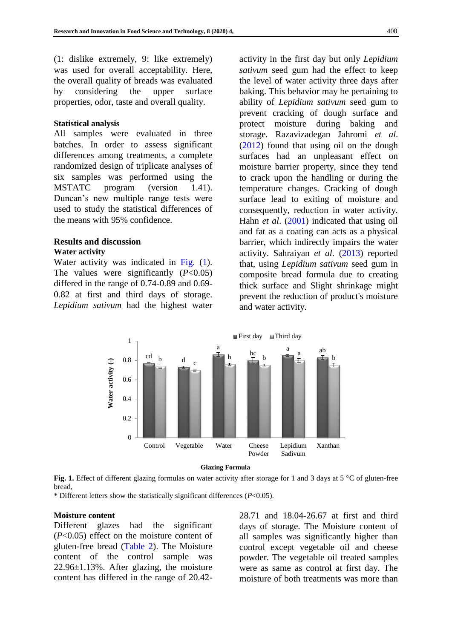(1: dislike extremely, 9: like extremely) was used for overall acceptability. Here, the overall quality of breads was evaluated by considering the upper surface properties, odor, taste and overall quality.

#### **Statistical analysis**

All samples were evaluated in three batches. In order to assess significant differences among treatments, a complete randomized design of triplicate analyses of six samples was performed using the MSTATC program (version 1.41). Duncan's new multiple range tests were used to study the statistical differences of the means with 95% confidence.

# **Results and discussion**

#### **Water activity**

Water activity was indicated in Fig.  $(1)$ . The values were significantly  $(P<0.05)$ differed in the range of 0.74-0.89 and 0.69- 0.82 at first and third days of storage. *Lepidium sativum* had the highest water activity in the first day but only *Lepidium sativum* seed gum had the effect to keep the level of water activity three days after baking. This behavior may be pertaining to ability of *Lepidium sativum* seed gum to prevent cracking of dough surface and protect moisture during baking and storage. [Razavizadegan Jahromi](#page-8-3) *et al*. [\(2012\)](#page-8-3) found that using oil on the dough surfaces had an unpleasant effect on moisture barrier property, since they tend to crack upon the handling or during the temperature changes. Cracking of dough surface lead to exiting of moisture and consequently, reduction in water activity. Hahn *et al*. [\(2001\)](#page-7-1) indicated that using oil and fat as a coating can acts as a physical barrier, which indirectly impairs the water activity. [Sahraiyan](#page-8-1) *et al*. (2013) reported that, using *Lepidium sativum* seed gum in composite bread formula due to creating thick surface and Slight shrinkage might prevent the reduction of product's moisture and water activity.

<span id="page-3-0"></span>

**Glazing Formula**

Fig. 1. Effect of different glazing formulas on water activity after storage for 1 and 3 days at 5 °C of gluten-free bread,

\* Different letters show the statistically significant differences (*P*<0.05).

#### **Moisture content**

Different glazes had the significant (*P*<0.05) effect on the moisture content of gluten-free bread [\(Table 2\).](#page-4-0) The Moisture content of the control sample was 22.96±1.13%. After glazing, the moisture content has differed in the range of 20.4228.71 and 18.04-26.67 at first and third days of storage. The Moisture content of all samples was significantly higher than control except vegetable oil and cheese powder. The vegetable oil treated samples were as same as control at first day. The moisture of both treatments was more than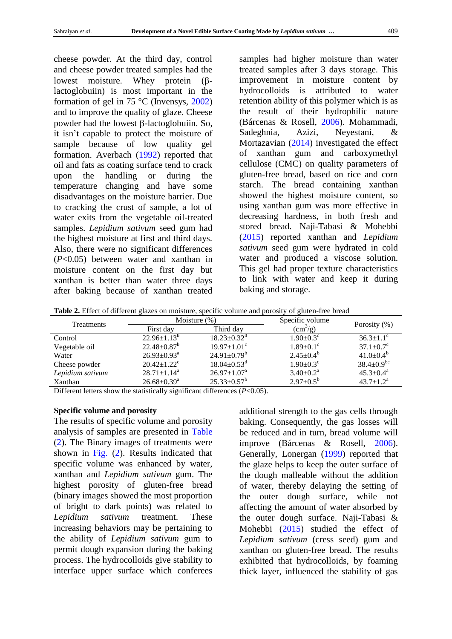cheese powder. At the third day, control and cheese powder treated samples had the lowest moisture. Whey protein  $(\beta$ lactoglobuiin) is most important in the formation of gel in 75 °C [\(Invensys, 2002\)](#page-7-9) and to improve the quality of glaze. Cheese powder had the lowest  $\beta$ -lactoglobuiin. So, it isn't capable to protect the moisture of sample because of low quality gel formation. [Averbach](#page-6-3) (1992) reported that oil and fats as coating surface tend to crack upon the handling or during the temperature changing and have some disadvantages on the moisture barrier. Due to cracking the crust of sample, a lot of water exits from the vegetable oil-treated samples. *Lepidium sativum* seed gum had the highest moisture at first and third days. Also, there were no significant differences (*P*<0.05) between water and xanthan in moisture content on the first day but xanthan is better than water three days after baking because of xanthan treated samples had higher moisture than water treated samples after 3 days storage. This improvement in moisture content by hydrocolloids is attributed to water retention ability of this polymer which is as the result of their hydrophilic nature [\(Bárcenas & Rosell,](#page-6-2) 2006). [Mohammadi,](#page-7-10)  [Sadeghnia, Azizi, Neyestani, &](#page-7-10)  [Mortazavian](#page-7-10) (2014) investigated the effect of xanthan gum and carboxymethyl cellulose (CMC) on quality parameters of gluten-free bread, based on rice and corn starch. The bread containing xanthan showed the highest moisture content, so using xanthan gum was more effective in decreasing hardness, in both fresh and stored bread. [Naji-Tabasi & Mohebbi](#page-8-6) [\(2015\)](#page-8-6) reported xanthan and *Lepidium sativum* seed gum were hydrated in cold water and produced a viscose solution. This gel had proper texture characteristics to link with water and keep it during baking and storage.

<span id="page-4-0"></span>**Table 2.** Effect of different glazes on moisture, specific volume and porosity of gluten-free bread

| Treatments       | Moisture $(\%)$               |                               | Specific volume             |                             |
|------------------|-------------------------------|-------------------------------|-----------------------------|-----------------------------|
|                  | First day                     | Third day                     | $\rm (cm^3/g)$              | Porosity $(\%)$             |
| Control          | $22.96 \pm 1.13^b$            | $18.23 \pm 0.32$ <sup>d</sup> | $1.90 \pm 0.3^{\circ}$      | $36.3 \pm 1.1^{\circ}$      |
| Vegetable oil    | $22.48 \pm 0.87^b$            | $19.97 \pm 1.01$ <sup>c</sup> | $1.89 \pm 0.1$ <sup>c</sup> | $37.1 \pm 0.7$ <sup>c</sup> |
| Water            | $26.93 \pm 0.93^{\text{a}}$   | $24.91 \pm 0.79^b$            | $2.45 \pm 0.4^b$            | $41.0 \pm 0.4^b$            |
| Cheese powder    | $20.42 \pm 1.22$ <sup>c</sup> | $18.04 \pm 0.53$ <sup>d</sup> | $1.90 \pm 0.3$ <sup>c</sup> | $38.4 \pm 0.9^{bc}$         |
| Lepidium sativum | $28.71 \pm 1.14^a$            | $26.97 \pm 1.07^{\text{a}}$   | $3.40 \pm 0.2^{\text{a}}$   | $45.3 \pm 0.4^{\text{a}}$   |
| Xanthan          | $26.68 \pm 0.39^{\text{a}}$   | $25.33 \pm 0.57^b$            | $2.97 \pm 0.5^{\rm b}$      | $43.7 \pm 1.2^{\mathrm{a}}$ |

Different letters show the statistically significant differences  $(P<0.05)$ .

# **Specific volume and porosity**

The results of specific volume and porosity analysis of samples are presented in [Table](#page-4-0)  [\(2\).](#page-4-0) The Binary images of treatments were shown in [Fig.](#page-5-0) (2). Results indicated that specific volume was enhanced by water, xanthan and *Lepidium sativum* gum. The highest porosity of gluten-free bread (binary images showed the most proportion of bright to dark points) was related to *Lepidium sativum* treatment. These increasing behaviors may be pertaining to the ability of *Lepidium sativum* gum to permit dough expansion during the baking process. The hydrocolloids give stability to interface upper surface which conferees

additional strength to the gas cells through baking. Consequently, the gas losses will be reduced and in turn, bread volume will improve [\(Bárcenas & Rosell, 2006\)](#page-6-2). Generally, [Lonergan](#page-7-3) (1999) reported that the glaze helps to keep the outer surface of the dough malleable without the addition of water, thereby delaying the setting of the outer dough surface, while not affecting the amount of water absorbed by the outer dough surface. [Naji-Tabasi &](#page-8-6)  [Mohebbi](#page-8-6) (2015) studied the effect of *Lepidium sativum* (cress seed) gum and xanthan on gluten-free bread. The results exhibited that hydrocolloids, by foaming thick layer, influenced the stability of gas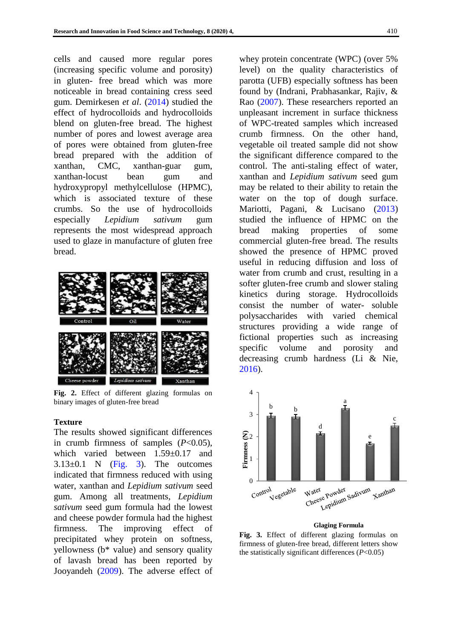cells and caused more regular pores (increasing specific volume and porosity) in gluten- free bread which was more noticeable in bread containing cress seed gum. [Demirkesen](#page-7-11) *et al*. (2014) studied the effect of hydrocolloids and hydrocolloids blend on gluten-free bread. The highest number of pores and lowest average area of pores were obtained from gluten-free bread prepared with the addition of xanthan, CMC, xanthan-guar gum, xanthan-locust bean gum and hydroxypropyl methylcellulose (HPMC), which is associated texture of these crumbs. So the use of hydrocolloids especially *Lepidium sativum* gum represents the most widespread approach used to glaze in manufacture of gluten free bread.

<span id="page-5-0"></span>

**Fig. 2.** Effect of different glazing formulas on binary images of gluten-free bread

#### **Texture**

The results showed significant differences in crumb firmness of samples (*P*<0.05), which varied between 1.59±0.17 and  $3.13\pm0.1$  N [\(Fig.](#page-5-1) 3). The outcomes indicated that firmness reduced with using water, xanthan and *Lepidium sativum* seed gum. Among all treatments, *Lepidium sativum* seed gum formula had the lowest and cheese powder formula had the highest firmness. The improving effect of precipitated whey protein on softness, yellowness (b\* value) and sensory quality of lavash bread has been reported by [Jooyandeh](#page-7-12) (2009). The adverse effect of whey protein concentrate (WPC) (over 5% level) on the quality characteristics of parotta (UFB) especially softness has been found by [\(Indrani, Prabhasankar, Rajiv, &](#page-7-13)  Rao [\(2007\)](#page-7-13). These researchers reported an unpleasant increment in surface thickness of WPC-treated samples which increased crumb firmness. On the other hand, vegetable oil treated sample did not show the significant difference compared to the control. The anti-staling effect of water, xanthan and *Lepidium sativum* seed gum may be related to their ability to retain the water on the top of dough surface. [Mariotti, Pagani, & Lucisano](#page-7-14) (2013) studied the influence of HPMC on the bread making properties of some commercial gluten-free bread. The results showed the presence of HPMC proved useful in reducing diffusion and loss of water from crumb and crust, resulting in a softer gluten-free crumb and slower staling kinetics during storage. Hydrocolloids consist the number of water- soluble polysaccharides with varied chemical structures providing a wide range of fictional properties such as increasing specific volume and porosity and decreasing crumb hardness [\(Li & Nie,](#page-7-15)  [2016\)](#page-7-15).

<span id="page-5-1"></span>

#### **Glaging Formula**

**Fig. 3.** Effect of different glazing formulas on firmness of gluten-free bread, different letters show the statistically significant differences (*P*<0.05)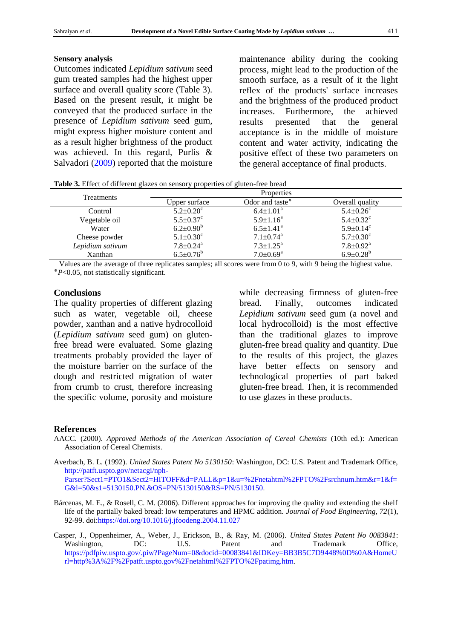#### **Sensory analysis**

Outcomes indicated *Lepidium sativum* seed gum treated samples had the highest upper surface and overall quality score [\(Table 3\)](#page-6-4). Based on the present result, it might be conveyed that the produced surface in the presence of *Lepidium sativum* seed gum, might express higher moisture content and as a result higher brightness of the product was achieved. In this regard, [Purlis &](#page-8-7)  [Salvadori](#page-8-7) (2009) reported that the moisture maintenance ability during the cooking process, might lead to the production of the smooth surface, as a result of it the light reflex of the products' surface increases and the brightness of the produced product increases. Furthermore, the achieved results presented that the general acceptance is in the middle of moisture content and water activity, indicating the positive effect of these two parameters on the general acceptance of final products.

<span id="page-6-4"></span>**Table 3.** Effect of different glazes on sensory properties of gluten-free bread

| <b>Treatments</b> | Properties                  |                             |                             |
|-------------------|-----------------------------|-----------------------------|-----------------------------|
|                   | Upper surface               | Odor and taste <sup>*</sup> | Overall quality             |
| Control           | $5.2 \pm 0.20^c$            | $6.4 \pm 1.01^{\text{a}}$   | $5.4 \pm 0.26$ <sup>c</sup> |
| Vegetable oil     | $5.5 \pm 0.37$ <sup>c</sup> | $5.9 \pm 1.16^a$            | $5.4 \pm 0.32$ <sup>c</sup> |
| Water             | $6.2 \pm 0.90^b$            | $6.5 \pm 1.41$ <sup>a</sup> | $5.9 \pm 0.14$ <sup>c</sup> |
| Cheese powder     | $5.1 \pm 0.30^c$            | $7.1 \pm 0.74$ <sup>a</sup> | $5.7 \pm 0.30^{\circ}$      |
| Lepidium sativum  | $7.8 \pm 0.24$ <sup>a</sup> | $7.3 \pm 1.25^{\text{a}}$   | $7.8 \pm 0.92$ <sup>a</sup> |
| Xanthan           | $6.5 \pm 0.76^b$            | $7.0 \pm 0.69$ <sup>a</sup> | $6.9 \pm 0.28^b$            |

Values are the average of three replicates samples; all scores were from 0 to 9, with 9 being the highest value. ٭*P*<0.05, not statistically significant.

#### **Conclusions**

The quality properties of different glazing such as water, vegetable oil, cheese powder, xanthan and a native hydrocolloid (*Lepidium sativum* seed gum) on glutenfree bread were evaluated. Some glazing treatments probably provided the layer of the moisture barrier on the surface of the dough and restricted migration of water from crumb to crust, therefore increasing the specific volume, porosity and moisture while decreasing firmness of gluten-free bread. Finally, outcomes indicated *Lepidium sativum* seed gum (a novel and local hydrocolloid) is the most effective than the traditional glazes to improve gluten-free bread quality and quantity. Due to the results of this project, the glazes have better effects on sensory and technological properties of part baked gluten-free bread. Then, it is recommended to use glazes in these products.

#### **References**

- <span id="page-6-1"></span>AACC. (2000). *Approved Methods of the American Association of Cereal Chemists* (10th ed.): American Association of Cereal Chemists.
- <span id="page-6-3"></span>Averbach, B. L. (1992). *United States Patent No 5130150*: Washington, DC: U.S. Patent and Trademark Office, [http://patft.uspto.gov/netacgi/nph-](http://patft.uspto.gov/netacgi/nph-Parser?Sect1=PTO1&Sect2=HITOFF&d=PALL&p=1&u=%2Fnetahtml%2FPTO%2Fsrchnum.htm&r=1&f=G&l=50&s1=5130150.PN.&OS=PN/5130150&RS=PN/5130150)[Parser?Sect1=PTO1&Sect2=HITOFF&d=PALL&p=1&u=%2Fnetahtml%2FPTO%2Fsrchnum.htm&r=1&f=](http://patft.uspto.gov/netacgi/nph-Parser?Sect1=PTO1&Sect2=HITOFF&d=PALL&p=1&u=%2Fnetahtml%2FPTO%2Fsrchnum.htm&r=1&f=G&l=50&s1=5130150.PN.&OS=PN/5130150&RS=PN/5130150)

[G&l=50&s1=5130150.PN.&OS=PN/5130150&RS=PN/5130150.](http://patft.uspto.gov/netacgi/nph-Parser?Sect1=PTO1&Sect2=HITOFF&d=PALL&p=1&u=%2Fnetahtml%2FPTO%2Fsrchnum.htm&r=1&f=G&l=50&s1=5130150.PN.&OS=PN/5130150&RS=PN/5130150)

- <span id="page-6-2"></span>Bárcenas, M. E., & Rosell, C. M. (2006). Different approaches for improving the quality and extending the shelf life of the partially baked bread: low temperatures and HPMC addition. *Journal of Food Engineering, 72*(1), 92-99. doi[:https://doi.org/10.1016/j.jfoodeng.2004.11.027](https://doi.org/10.1016/j.jfoodeng.2004.11.027)
- <span id="page-6-0"></span>Casper, J., Oppenheimer, A., Weber, J., Erickson, B., & Ray, M. (2006). *United States Patent No 0083841*: Washington, DC: U.S. Patent and Trademark Office, [https://pdfpiw.uspto.gov/.piw?PageNum=0&docid=00083841&IDKey=BB3B5C7D9448%0D%0A&HomeU](https://pdfpiw.uspto.gov/.piw?PageNum=0&docid=00083841&IDKey=BB3B5C7D9448%0D%0A&HomeUrl=http%3A%2F%2Fpatft.uspto.gov%2Fnetahtml%2FPTO%2Fpatimg.htm) [rl=http%3A%2F%2Fpatft.uspto.gov%2Fnetahtml%2FPTO%2Fpatimg.htm.](https://pdfpiw.uspto.gov/.piw?PageNum=0&docid=00083841&IDKey=BB3B5C7D9448%0D%0A&HomeUrl=http%3A%2F%2Fpatft.uspto.gov%2Fnetahtml%2FPTO%2Fpatimg.htm)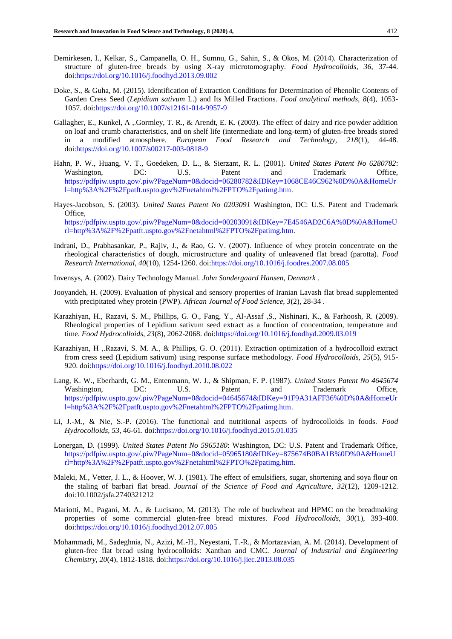- <span id="page-7-11"></span>Demirkesen, I., Kelkar, S., Campanella, O. H., Sumnu, G., Sahin, S., & Okos, M. (2014). Characterization of structure of gluten-free breads by using X-ray microtomography. *Food Hydrocolloids, 36*, 37-44. doi[:https://doi.org/10.1016/j.foodhyd.2013.09.002](https://doi.org/10.1016/j.foodhyd.2013.09.002)
- <span id="page-7-6"></span>Doke, S., & Guha, M. (2015). Identification of Extraction Conditions for Determination of Phenolic Contents of Garden Cress Seed (*Lepidium sativum* L.) and Its Milled Fractions. *Food analytical methods, 8*(4), 1053- 1057. doi[:https://doi.org/10.1007/s12161-014-9957-9](https://doi.org/10.1007/s12161-014-9957-9)
- <span id="page-7-0"></span>Gallagher, E., Kunkel, A ,.Gormley, T. R., & Arendt, E. K. (2003). The effect of dairy and rice powder addition on loaf and crumb characteristics, and on shelf life (intermediate and long-term) of gluten-free breads stored in a modified atmosphere. *European Food Research and Technology, 218*(1), 44-48. doi[:https://doi.org/10.1007/s00217-003-0818-9](https://doi.org/10.1007/s00217-003-0818-9)
- <span id="page-7-1"></span>Hahn, P. W., Huang, V. T., Goedeken, D. L., & Sierzant, R. L. (2001). *United States Patent No 6280782*: Washington, DC: U.S. Patent and Trademark Office, [https://pdfpiw.uspto.gov/.piw?PageNum=0&docid=06280782&IDKey=1068CE46C962%0D%0A&HomeUr](https://pdfpiw.uspto.gov/.piw?PageNum=0&docid=06280782&IDKey=1068CE46C962%0D%0A&HomeUrl=http%3A%2F%2Fpatft.uspto.gov%2Fnetahtml%2FPTO%2Fpatimg.htm) [l=http%3A%2F%2Fpatft.uspto.gov%2Fnetahtml%2FPTO%2Fpatimg.htm.](https://pdfpiw.uspto.gov/.piw?PageNum=0&docid=06280782&IDKey=1068CE46C962%0D%0A&HomeUrl=http%3A%2F%2Fpatft.uspto.gov%2Fnetahtml%2FPTO%2Fpatimg.htm)
- <span id="page-7-2"></span>Hayes-Jacobson, S. (2003). *United States Patent No 0203091* Washington, DC: U.S. Patent and Trademark Office, [https://pdfpiw.uspto.gov/.piw?PageNum=0&docid=00203091&IDKey=7E4546AD2C6A%0D%0A&HomeU](https://pdfpiw.uspto.gov/.piw?PageNum=0&docid=00203091&IDKey=7E4546AD2C6A%0D%0A&HomeUrl=http%3A%2F%2Fpatft.uspto.gov%2Fnetahtml%2FPTO%2Fpatimg.htm) [rl=http%3A%2F%2Fpatft.uspto.gov%2Fnetahtml%2FPTO%2Fpatimg.htm.](https://pdfpiw.uspto.gov/.piw?PageNum=0&docid=00203091&IDKey=7E4546AD2C6A%0D%0A&HomeUrl=http%3A%2F%2Fpatft.uspto.gov%2Fnetahtml%2FPTO%2Fpatimg.htm)
- <span id="page-7-13"></span>Indrani, D., Prabhasankar, P., Rajiv, J., & Rao, G. V. (2007). Influence of whey protein concentrate on the rheological characteristics of dough, microstructure and quality of unleavened flat bread (parotta). *Food Research International, 40*(10), 1254-1260. doi[:https://doi.org/10.1016/j.foodres.2007.08.005](https://doi.org/10.1016/j.foodres.2007.08.005)
- <span id="page-7-9"></span>Invensys, A. (2002). Dairy Technology Manual. *John Sondergaard Hansen, Denmark* .
- <span id="page-7-12"></span>Jooyandeh, H. (2009). Evaluation of physical and sensory properties of Iranian Lavash flat bread supplemented with precipitated whey protein (PWP). *African Journal of Food Science, 3*(2), 28-34 .
- <span id="page-7-5"></span>Karazhiyan, H., Razavi, S. M., Phillips, G. O., Fang, Y., Al-Assaf ,S., Nishinari, K., & Farhoosh, R. (2009). Rheological properties of Lepidium sativum seed extract as a function of concentration, temperature and time. *Food Hydrocolloids, 23*(8), 2062-2068. doi[:https://doi.org/10.1016/j.foodhyd.2009.03.019](https://doi.org/10.1016/j.foodhyd.2009.03.019)
- <span id="page-7-7"></span>Karazhiyan, H ,.Razavi, S. M. A., & Phillips, G. O. (2011). Extraction optimization of a hydrocolloid extract from cress seed (Lepidium sativum) using response surface methodology. *Food Hydrocolloids, 25*(5), 915- 920. doi[:https://doi.org/10.1016/j.foodhyd.2010.08.022](https://doi.org/10.1016/j.foodhyd.2010.08.022)
- <span id="page-7-4"></span>Lang, K. W., Eberhardt, G. M., Entenmann, W. J., & Shipman, F. P. (1987). *United States Patent No 4645674*  Washington, DC: U.S. Patent and Trademark Office, [https://pdfpiw.uspto.gov/.piw?PageNum=0&docid=04645674&IDKey=91F9A31AFF36%0D%0A&HomeUr](https://pdfpiw.uspto.gov/.piw?PageNum=0&docid=04645674&IDKey=91F9A31AFF36%0D%0A&HomeUrl=http%3A%2F%2Fpatft.uspto.gov%2Fnetahtml%2FPTO%2Fpatimg.htm) [l=http%3A%2F%2Fpatft.uspto.gov%2Fnetahtml%2FPTO%2Fpatimg.htm.](https://pdfpiw.uspto.gov/.piw?PageNum=0&docid=04645674&IDKey=91F9A31AFF36%0D%0A&HomeUrl=http%3A%2F%2Fpatft.uspto.gov%2Fnetahtml%2FPTO%2Fpatimg.htm)
- <span id="page-7-15"></span>Li, J.-M., & Nie, S.-P. (2016). The functional and nutritional aspects of hydrocolloids in foods. *Food Hydrocolloids, 53*, 46-61. doi[:https://doi.org/10.1016/j.foodhyd.2015.01.035](https://doi.org/10.1016/j.foodhyd.2015.01.035)
- <span id="page-7-3"></span>Lonergan, D. (1999). *United States Patent No 5965180*: Washington, DC: U.S. Patent and Trademark Office, [https://pdfpiw.uspto.gov/.piw?PageNum=0&docid=05965180&IDKey=875674B0BA1B%0D%0A&HomeU](https://pdfpiw.uspto.gov/.piw?PageNum=0&docid=05965180&IDKey=875674B0BA1B%0D%0A&HomeUrl=http%3A%2F%2Fpatft.uspto.gov%2Fnetahtml%2FPTO%2Fpatimg.htm) [rl=http%3A%2F%2Fpatft.uspto.gov%2Fnetahtml%2FPTO%2Fpatimg.htm.](https://pdfpiw.uspto.gov/.piw?PageNum=0&docid=05965180&IDKey=875674B0BA1B%0D%0A&HomeUrl=http%3A%2F%2Fpatft.uspto.gov%2Fnetahtml%2FPTO%2Fpatimg.htm)
- <span id="page-7-8"></span>Maleki, M., Vetter, J. L., & Hoover, W. J. (1981). The effect of emulsifiers, sugar, shortening and soya flour on the staling of barbari flat bread. *Journal of the Science of Food and Agriculture, 32*(12), 1209-1212. doi:10.1002/jsfa.2740321212
- <span id="page-7-14"></span>Mariotti, M., Pagani, M. A., & Lucisano, M. (2013). The role of buckwheat and HPMC on the breadmaking properties of some commercial gluten-free bread mixtures. *Food Hydrocolloids, 30*(1), 393-400. doi[:https://doi.org/10.1016/j.foodhyd.2012.07.005](https://doi.org/10.1016/j.foodhyd.2012.07.005)
- <span id="page-7-10"></span>Mohammadi, M., Sadeghnia, N., Azizi, M.-H., Neyestani, T.-R., & Mortazavian, A. M. (2014). Development of gluten-free flat bread using hydrocolloids: Xanthan and CMC. *Journal of Industrial and Engineering Chemistry, 20*(4), 1812-1818. doi[:https://doi.org/10.1016/j.jiec.2013.08.035](https://doi.org/10.1016/j.jiec.2013.08.035)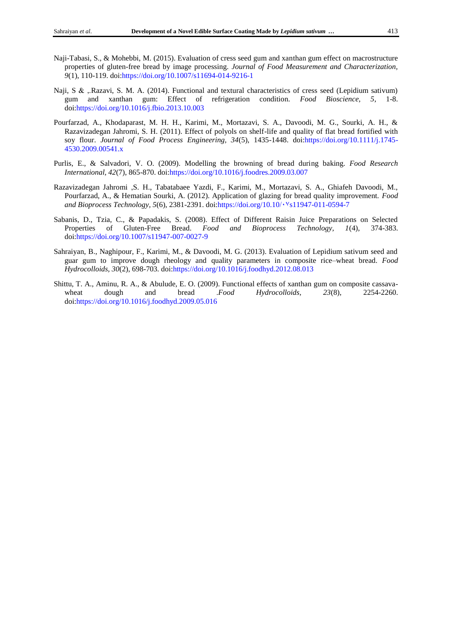- <span id="page-8-6"></span>Naji-Tabasi, S., & Mohebbi, M. (2015). Evaluation of cress seed gum and xanthan gum effect on macrostructure properties of gluten-free bread by image processing. *Journal of Food Measurement and Characterization, 9*(1), 110-119. doi[:https://doi.org/10.1007/s11694-014-9216-1](https://doi.org/10.1007/s11694-014-9216-1)
- <span id="page-8-2"></span>Naji, S & ,.Razavi, S. M. A. (2014). Functional and textural characteristics of cress seed (Lepidium sativum) gum and xanthan gum: Effect of refrigeration condition. *Food Bioscience, 5*, 1-8. doi[:https://doi.org/10.1016/j.fbio.2013.10.003](https://doi.org/10.1016/j.fbio.2013.10.003)
- <span id="page-8-5"></span>Pourfarzad, A., Khodaparast, M. H. H., Karimi, M., Mortazavi, S. A., Davoodi, M. G., Sourki, A. H., & Razavizadegan Jahromi, S. H. (2011). Effect of polyols on shelf-life and quality of flat bread fortified with soy flour. *Journal of Food Process Engineering, 34*(5), 1435-1448. doi[:https://doi.org/10.1111/j.1745-](https://doi.org/10.1111/j.1745-4530.2009.00541.x) [4530.2009.00541.x](https://doi.org/10.1111/j.1745-4530.2009.00541.x)
- <span id="page-8-7"></span>Purlis, E., & Salvadori, V. O. (2009). Modelling the browning of bread during baking. *Food Research International, 42*(7), 865-870. doi[:https://doi.org/10.1016/j.foodres.2009.03.007](https://doi.org/10.1016/j.foodres.2009.03.007)
- <span id="page-8-3"></span>Razavizadegan Jahromi ,S. H., Tabatabaee Yazdi, F., Karimi, M., Mortazavi, S. A., Ghiafeh Davoodi, M., Pourfarzad, A., & Hematian Sourki, A. (2012). Application of glazing for bread quality improvement. *Food and Bioprocess Technology, 5*(6), 2381-2391. doi:https://doi.org/10.10/ $\cdot$ <sup>v</sup>s11947-011-0594-7
- <span id="page-8-4"></span>Sabanis, D., Tzia, C., & Papadakis, S. (2008). Effect of Different Raisin Juice Preparations on Selected Properties of Gluten-Free Bread. *Food and Bioprocess Technology, 1*(4), 374-383. doi[:https://doi.org/10.1007/s11947-007-0027-9](https://doi.org/10.1007/s11947-007-0027-9)
- <span id="page-8-1"></span>Sahraiyan, B., Naghipour, F., Karimi, M., & Davoodi, M. G. (2013). Evaluation of Lepidium sativum seed and guar gum to improve dough rheology and quality parameters in composite rice–wheat bread. *Food Hydrocolloids, 30*(2), 698-703. doi[:https://doi.org/10.1016/j.foodhyd.2012.08.013](https://doi.org/10.1016/j.foodhyd.2012.08.013)
- <span id="page-8-0"></span>Shittu, T. A., Aminu, R. A., & Abulude, E. O. (2009). Functional effects of xanthan gum on composite cassavawheat dough and bread *.Food Hydrocolloids*, 23(8), 2254-2260. doi[:https://doi.org/10.1016/j.foodhyd.2009.05.016](https://doi.org/10.1016/j.foodhyd.2009.05.016)